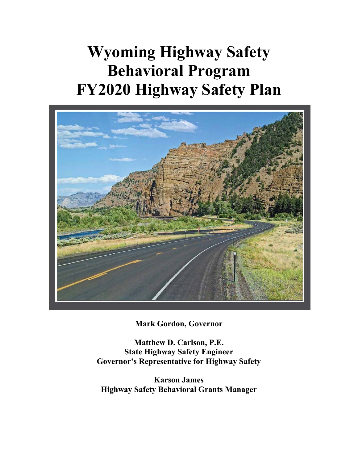## **Wyoming Highway Safety Behavioral Program FY2020 Highway Safety Plan**



**Mark Gordon, Governor** 

**Matthew D. Carlson, P.E. State Highway Safety Engineer Governor's Representative for Highway Safety** 

**Karson James Highway Safety Behavioral Grants Manager**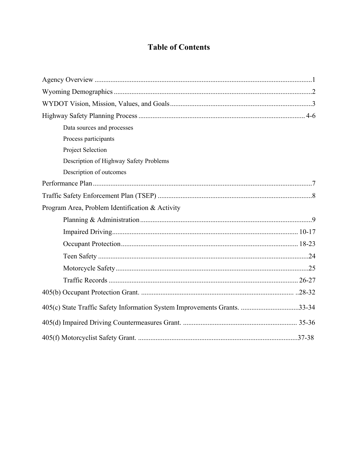## **Table of Contents**

| Data sources and processes                                                |  |
|---------------------------------------------------------------------------|--|
| Process participants                                                      |  |
| Project Selection                                                         |  |
| Description of Highway Safety Problems                                    |  |
| Description of outcomes                                                   |  |
|                                                                           |  |
|                                                                           |  |
| Program Area, Problem Identification & Activity                           |  |
|                                                                           |  |
|                                                                           |  |
|                                                                           |  |
|                                                                           |  |
|                                                                           |  |
|                                                                           |  |
|                                                                           |  |
| 405(c) State Traffic Safety Information System Improvements Grants. 33-34 |  |
|                                                                           |  |
|                                                                           |  |